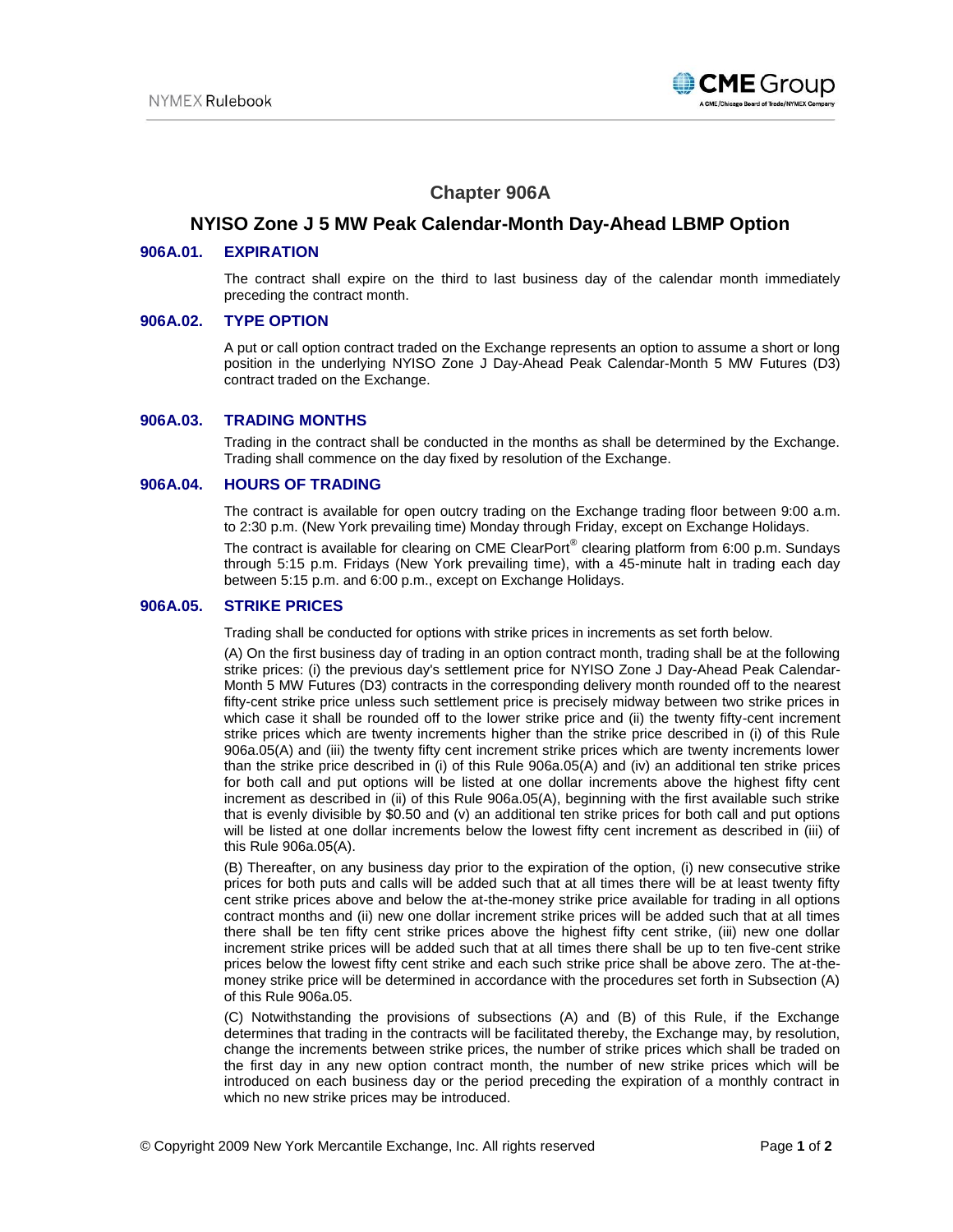

# **Chapter 906A**

## **NYISO Zone J 5 MW Peak Calendar-Month Day-Ahead LBMP Option**

### **906A.01. EXPIRATION**

The contract shall expire on the third to last business day of the calendar month immediately preceding the contract month.

#### **906A.02. TYPE OPTION**

A put or call option contract traded on the Exchange represents an option to assume a short or long position in the underlying NYISO Zone J Day-Ahead Peak Calendar-Month 5 MW Futures (D3) contract traded on the Exchange.

#### **906A.03. TRADING MONTHS**

Trading in the contract shall be conducted in the months as shall be determined by the Exchange. Trading shall commence on the day fixed by resolution of the Exchange.

#### **906A.04. HOURS OF TRADING**

The contract is available for open outcry trading on the Exchange trading floor between 9:00 a.m. to 2:30 p.m. (New York prevailing time) Monday through Friday, except on Exchange Holidays.

The contract is available for clearing on CME ClearPort $^{\circ}$  clearing platform from 6:00 p.m. Sundays through 5:15 p.m. Fridays (New York prevailing time), with a 45-minute halt in trading each day between 5:15 p.m. and 6:00 p.m., except on Exchange Holidays.

#### **906A.05. STRIKE PRICES**

Trading shall be conducted for options with strike prices in increments as set forth below.

(A) On the first business day of trading in an option contract month, trading shall be at the following strike prices: (i) the previous day's settlement price for NYISO Zone J Day-Ahead Peak Calendar-Month 5 MW Futures (D3) contracts in the corresponding delivery month rounded off to the nearest fifty-cent strike price unless such settlement price is precisely midway between two strike prices in which case it shall be rounded off to the lower strike price and (ii) the twenty fifty-cent increment strike prices which are twenty increments higher than the strike price described in (i) of this Rule 906a.05(A) and (iii) the twenty fifty cent increment strike prices which are twenty increments lower than the strike price described in (i) of this Rule 906a.05(A) and (iv) an additional ten strike prices for both call and put options will be listed at one dollar increments above the highest fifty cent increment as described in (ii) of this Rule 906a.05(A), beginning with the first available such strike that is evenly divisible by \$0.50 and (v) an additional ten strike prices for both call and put options will be listed at one dollar increments below the lowest fifty cent increment as described in (iii) of this Rule 906a.05(A).

(B) Thereafter, on any business day prior to the expiration of the option, (i) new consecutive strike prices for both puts and calls will be added such that at all times there will be at least twenty fifty cent strike prices above and below the at-the-money strike price available for trading in all options contract months and (ii) new one dollar increment strike prices will be added such that at all times there shall be ten fifty cent strike prices above the highest fifty cent strike, (iii) new one dollar increment strike prices will be added such that at all times there shall be up to ten five-cent strike prices below the lowest fifty cent strike and each such strike price shall be above zero. The at-themoney strike price will be determined in accordance with the procedures set forth in Subsection (A) of this Rule 906a.05.

(C) Notwithstanding the provisions of subsections (A) and (B) of this Rule, if the Exchange determines that trading in the contracts will be facilitated thereby, the Exchange may, by resolution, change the increments between strike prices, the number of strike prices which shall be traded on the first day in any new option contract month, the number of new strike prices which will be introduced on each business day or the period preceding the expiration of a monthly contract in which no new strike prices may be introduced.